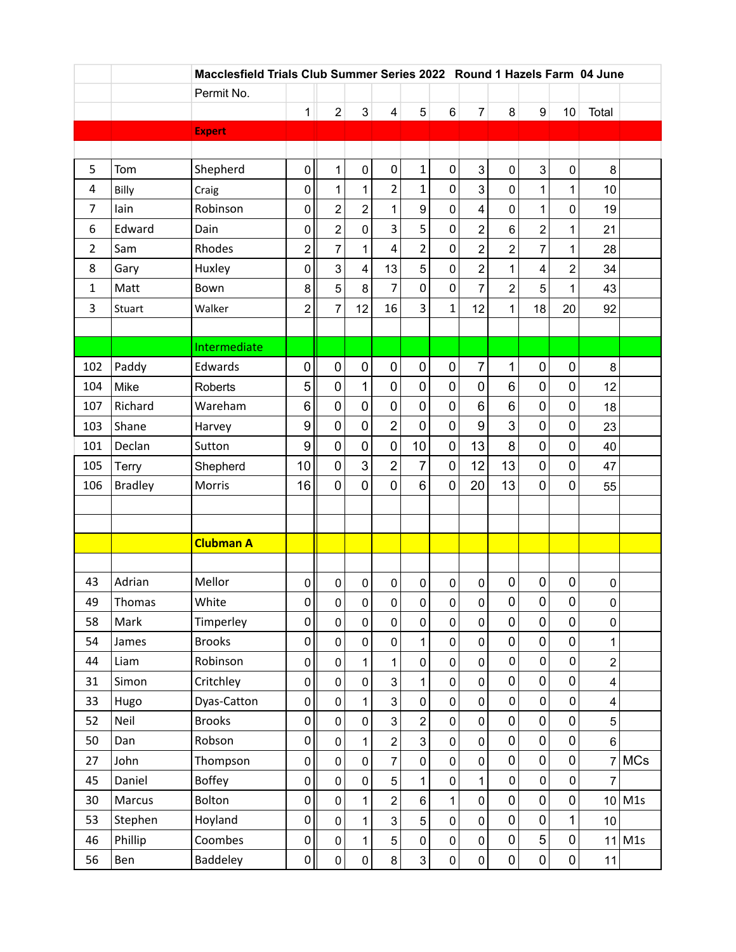|                |                | Macclesfield Trials Club Summer Series 2022 Round 1 Hazels Farm 04 June |                  |                |                     |                         |                           |                     |                     |                |                  |                  |                 |            |
|----------------|----------------|-------------------------------------------------------------------------|------------------|----------------|---------------------|-------------------------|---------------------------|---------------------|---------------------|----------------|------------------|------------------|-----------------|------------|
|                |                | Permit No.                                                              |                  |                |                     |                         |                           |                     |                     |                |                  |                  |                 |            |
|                |                |                                                                         | $\mathbf{1}$     | $\overline{2}$ | 3                   | 4                       | 5                         | $6\phantom{1}$      | $\overline{7}$      | 8              | 9                | 10               | Total           |            |
|                |                | <b>Expert</b>                                                           |                  |                |                     |                         |                           |                     |                     |                |                  |                  |                 |            |
|                |                |                                                                         |                  |                |                     |                         |                           |                     |                     |                |                  |                  |                 |            |
| 5              | Tom            | Shepherd                                                                | 0                | 1              | $\pmb{0}$           | $\pmb{0}$               | $\mathbf{1}$              | $\pmb{0}$           | 3                   | $\pmb{0}$      | 3                | $\pmb{0}$        | 8               |            |
| 4              | Billy          | Craig                                                                   | 0                | 1              | 1                   | $\overline{2}$          | $\mathbf 1$               | 0                   | 3                   | 0              | 1                | 1                | 10              |            |
| $\overline{7}$ | lain           | Robinson                                                                | $\pmb{0}$        | 2              | $\overline{c}$      | $\mathbf{1}$            | 9                         | $\pmb{0}$           | 4                   | 0              | 1                | 0                | 19              |            |
| 6              | Edward         | Dain                                                                    | 0                | $\overline{2}$ | $\mathbf 0$         | 3                       | 5                         | $\mathbf 0$         | $\overline{2}$      | 6              | $\overline{c}$   | 1                | 21              |            |
| $\overline{2}$ | Sam            | Rhodes                                                                  | $\overline{2}$   | 7              | 1                   | $\overline{\mathbf{4}}$ | $\overline{2}$            | $\boldsymbol{0}$    | $\overline{2}$      | $\overline{2}$ | $\overline{7}$   | 1                | 28              |            |
| 8              | Gary           | Huxley                                                                  | 0                | 3              | $\overline{4}$      | 13                      | 5                         | $\pmb{0}$           | $\overline{2}$      | 1              | 4                | $\overline{2}$   | 34              |            |
| $\mathbf{1}$   | Matt           | Bown                                                                    | 8                | 5              | 8                   | $\overline{7}$          | $\mathbf 0$               | $\pmb{0}$           | $\overline{7}$      | $\overline{2}$ | 5                | 1                | 43              |            |
| 3              | Stuart         | Walker                                                                  | $\overline{c}$   | $\overline{7}$ | 12                  | 16                      | 3                         | $\mathbf{1}$        | 12                  | 1              | 18               | 20               | 92              |            |
|                |                |                                                                         |                  |                |                     |                         |                           |                     |                     |                |                  |                  |                 |            |
|                |                | Intermediate                                                            |                  |                |                     |                         |                           |                     |                     |                |                  |                  |                 |            |
| 102            | Paddy          | Edwards                                                                 | $\mathbf 0$      | $\pmb{0}$      | $\pmb{0}$           | $\pmb{0}$               | $\mathbf 0$               | $\pmb{0}$           | $\overline{7}$      | $\mathbf{1}$   | $\pmb{0}$        | $\mathbf 0$      | 8               |            |
| 104            | Mike           | <b>Roberts</b>                                                          | 5                | $\mathbf 0$    | $\mathbf{1}$        | 0                       | $\overline{0}$            | $\pmb{0}$           | $\mathbf 0$         | 6              | $\mathbf 0$      | 0                | 12              |            |
| 107            | Richard        | Wareham                                                                 | 6                | 0              | 0                   | $\mathbf 0$             | $\mathbf 0$               | $\pmb{0}$           | 6                   | $\,6$          | 0                | 0                | 18              |            |
| 103            | Shane          | Harvey                                                                  | 9                | 0              | 0                   | $\overline{2}$          | $\overline{0}$            | $\pmb{0}$           | 9                   | 3              | 0                | 0                | 23              |            |
| 101            | Declan         | Sutton                                                                  | 9                | $\mathbf 0$    | $\mathbf 0$         | $\pmb{0}$               | 10                        | $\pmb{0}$           | 13                  | 8              | $\mathbf 0$      | 0                | 40              |            |
| 105            | <b>Terry</b>   | Shepherd                                                                | 10               | 0              | 3                   | $\overline{2}$          | $\overline{7}$            | $\mathbf 0$         | 12                  | 13             | $\mathbf 0$      | 0                | 47              |            |
| 106            | <b>Bradley</b> | Morris                                                                  | 16               | $\mathbf 0$    | 0                   | $\mathbf 0$             | $6\phantom{1}$            | $\mathbf 0$         | 20                  | 13             | 0                | 0                | 55              |            |
|                |                |                                                                         |                  |                |                     |                         |                           |                     |                     |                |                  |                  |                 |            |
|                |                |                                                                         |                  |                |                     |                         |                           |                     |                     |                |                  |                  |                 |            |
|                |                | <b>Clubman A</b>                                                        |                  |                |                     |                         |                           |                     |                     |                |                  |                  |                 |            |
|                |                |                                                                         |                  |                |                     |                         |                           |                     |                     |                |                  |                  |                 |            |
| 43             | Adrian         | Mellor                                                                  | $\pmb{0}$        | $\pmb{0}$      | $\pmb{0}$           | $\pmb{0}$               | $\pmb{0}$                 | $\pmb{0}$           | $\mathbf 0$         | $\pmb{0}$      | $\boldsymbol{0}$ | 0                | 0               |            |
| 49             | Thomas         | White                                                                   | $\mathsf{O}$     | 0              | $\mathsf{O}\xspace$ | $\mathsf 0$             | $\pmb{0}$                 | $\pmb{0}$           | $\pmb{0}$           | $\pmb{0}$      | $\pmb{0}$        | 0                | 0               |            |
| 58             | Mark           | Timperley                                                               | $\mathbf 0$      | $\overline{0}$ | $\mathsf{O}\xspace$ | $\overline{0}$          | $\mathbf 0$               | $\mathsf 0$         | $\mathsf 0$         | $\mathsf 0$    | $\overline{0}$   | $\pmb{0}$        | $\mathbf 0$     |            |
| 54             | James          | <b>Brooks</b>                                                           | 0                | 0              | $\pmb{0}$           | $\pmb{0}$               | $\overline{1}$            | $\mathsf{O}\xspace$ | $\pmb{0}$           | 0              | $\pmb{0}$        | $\mathbf 0$      | 1               |            |
| 44             | Liam           | Robinson                                                                | 0                | $\pmb{0}$      | $\mathbf{1}$        | $\mathbf{1}$            | $\mathbf 0$               | $\pmb{0}$           | $\mathsf{O}\xspace$ | $\mathbf 0$    | $\mathbf 0$      | $\overline{0}$   | $\overline{c}$  |            |
| 31             | Simon          | Critchley                                                               | 0                | $\pmb{0}$      | $\mathbf 0$         | 3                       | 1                         | $\pmb{0}$           | $\pmb{0}$           | 0              | $\pmb{0}$        | 0                | 4               |            |
| 33             | Hugo           | Dyas-Catton                                                             | 0                | 0              | 1                   | 3                       | $\pmb{0}$                 | $\pmb{0}$           | 0                   | $\pmb{0}$      | $\pmb{0}$        | 0                | 4               |            |
| 52             | Neil           | <b>Brooks</b>                                                           | 0                | 0              | $\mathbf 0$         | 3                       | $\overline{2}$            | $\mathsf{O}\xspace$ | $\mathsf 0$         | $\pmb{0}$      | $\pmb{0}$        | $\mathbf 0$      | 5               |            |
| 50             | Dan            | Robson                                                                  | $\boldsymbol{0}$ | $\pmb{0}$      | $\mathbf{1}$        | $\overline{c}$          | 3                         | $\pmb{0}$           | $\pmb{0}$           | $\pmb{0}$      | $\pmb{0}$        | $\mathbf 0$      | 6               |            |
| 27             | John           | Thompson                                                                | 0                | $\pmb{0}$      | $\mathbf 0$         | $\overline{7}$          | $\pmb{0}$                 | $\pmb{0}$           | $\mathsf{O}\xspace$ | $\mathbf 0$    | $\pmb{0}$        | $\pmb{0}$        | 7               | <b>MCs</b> |
| 45             | Daniel         | <b>Boffey</b>                                                           | 0                | 0              | $\pmb{0}$           | 5                       | 1                         | $\pmb{0}$           | $\mathbf{1}$        | $\pmb{0}$      | $\pmb{0}$        | $\boldsymbol{0}$ | $\overline{7}$  |            |
| 30             | Marcus         | Bolton                                                                  | 0                | $\pmb{0}$      | 1                   | $\overline{2}$          | $6\phantom{a}$            | $\mathbf{1}$        | $\pmb{0}$           | 0              | $\pmb{0}$        | $\pmb{0}$        | 10 <sup>1</sup> | M1s        |
| 53             | Stephen        | Hoyland                                                                 | $\boldsymbol{0}$ | $\pmb{0}$      | $\mathbf{1}$        | 3                       | $\overline{5}$            | $\pmb{0}$           | $\mathsf{O}\xspace$ | $\mathbf 0$    | $\mathbf 0$      | $\mathbf{1}$     | 10              |            |
| 46             | Phillip        | Coombes                                                                 | $\pmb{0}$        | $\pmb{0}$      | $\mathbf{1}$        | 5                       | $\mathbf 0$               | $\pmb{0}$           | $\pmb{0}$           | 0              | 5                | $\pmb{0}$        | 11              | M1s        |
| 56             | Ben            | Baddeley                                                                | $\boldsymbol{0}$ | 0              | $\pmb{0}$           | 8                       | $\ensuremath{\mathsf{3}}$ | $\pmb{0}$           | 0                   | 0              | 0                | $\mathsf 0$      | 11              |            |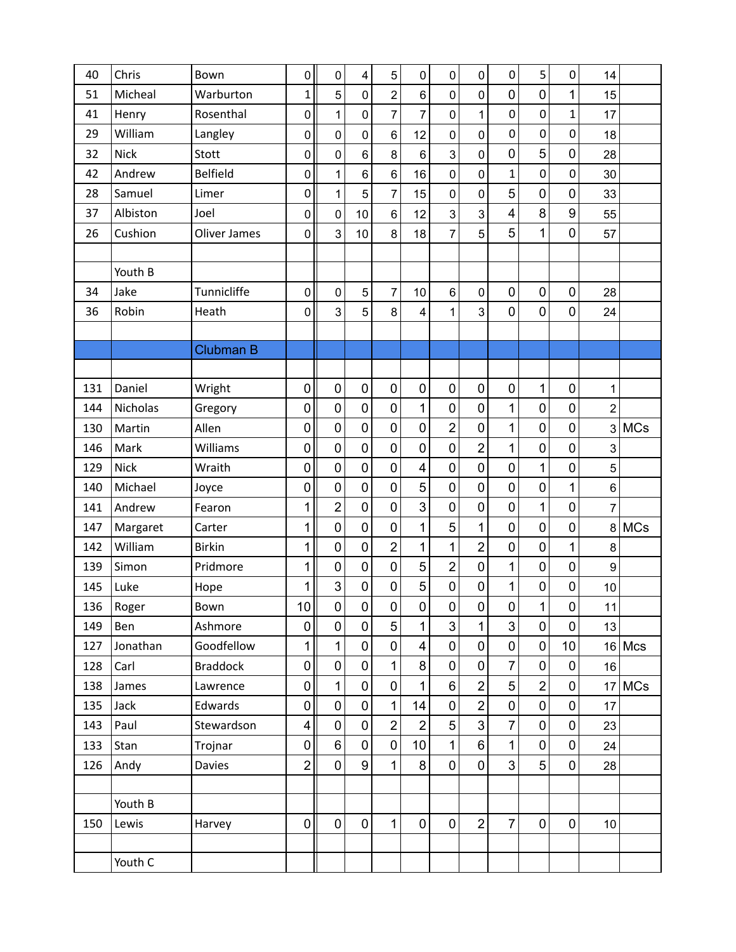| 40  | Chris       | Bown             | $\mathbf 0$      | $\mathbf 0$    | 4              | 5                | $\mathbf 0$             | $\mathbf 0$    | $\mathbf 0$    | $\mathbf 0$             | 5                | $\mathbf 0$      | 14               |            |
|-----|-------------|------------------|------------------|----------------|----------------|------------------|-------------------------|----------------|----------------|-------------------------|------------------|------------------|------------------|------------|
| 51  | Micheal     | Warburton        | $\mathbf{1}$     | 5              | 0              | $\overline{c}$   | $\,6$                   | $\mathbf 0$    | 0              | 0                       | 0                | 1                | 15               |            |
| 41  | Henry       | Rosenthal        | $\pmb{0}$        | $\mathbf 1$    | 0              | $\overline{7}$   | $\overline{7}$          | $\mathbf 0$    | 1              | $\mathbf 0$             | $\boldsymbol{0}$ | $\mathbf{1}$     | 17               |            |
| 29  | William     | Langley          | $\pmb{0}$        | $\mathbf 0$    | 0              | $\,6$            | 12                      | $\mathbf 0$    | 0              | $\mathbf 0$             | $\mathbf 0$      | 0                | 18               |            |
| 32  | <b>Nick</b> | Stott            | $\mathbf 0$      | $\mathbf 0$    | $6\phantom{1}$ | 8                | $\,6$                   | 3              | $\mathbf 0$    | $\mathbf 0$             | 5                | $\mathbf 0$      | 28               |            |
| 42  | Andrew      | <b>Belfield</b>  | $\pmb{0}$        | 1              | 6              | $6\phantom{1}$   | 16                      | $\mathsf 0$    | 0              | $\mathbf{1}$            | $\boldsymbol{0}$ | $\mathbf 0$      | 30               |            |
| 28  | Samuel      | Limer            | $\pmb{0}$        | 1              | 5              | $\overline{7}$   | 15                      | $\mathbf 0$    | 0              | 5                       | $\pmb{0}$        | $\mathbf 0$      | 33               |            |
| 37  | Albiston    | Joel             | $\pmb{0}$        | $\mathbf 0$    | 10             | $\,6$            | 12                      | 3              | 3              | $\overline{\mathbf{4}}$ | 8                | $\boldsymbol{9}$ | 55               |            |
| 26  | Cushion     | Oliver James     | $\pmb{0}$        | 3              | 10             | 8                | 18                      | $\overline{7}$ | 5              | 5                       | 1                | $\mathbf 0$      | 57               |            |
|     |             |                  |                  |                |                |                  |                         |                |                |                         |                  |                  |                  |            |
|     | Youth B     |                  |                  |                |                |                  |                         |                |                |                         |                  |                  |                  |            |
| 34  | Jake        | Tunnicliffe      | $\pmb{0}$        | $\mathbf 0$    | 5              | $\overline{7}$   | 10                      | 6              | $\mathbf 0$    | $\mathbf 0$             | $\pmb{0}$        | $\mathbf 0$      | 28               |            |
| 36  | Robin       | Heath            | $\mathbf 0$      | 3              | 5              | 8                | 4                       | 1              | 3              | 0                       | $\mathbf 0$      | $\mathbf 0$      | 24               |            |
|     |             |                  |                  |                |                |                  |                         |                |                |                         |                  |                  |                  |            |
|     |             | <b>Clubman B</b> |                  |                |                |                  |                         |                |                |                         |                  |                  |                  |            |
|     |             |                  |                  |                |                |                  |                         |                |                |                         |                  |                  |                  |            |
| 131 | Daniel      | Wright           | $\pmb{0}$        | $\mathbf 0$    | $\mathbf 0$    | $\mathbf 0$      | $\pmb{0}$               | $\mathbf 0$    | $\mathbf 0$    | $\mathbf 0$             | $\mathbf{1}$     | $\mathbf 0$      | 1                |            |
| 144 | Nicholas    | Gregory          | $\mathbf 0$      | 0              | $\mathbf 0$    | $\mathbf 0$      | 1                       | 0              | $\mathbf 0$    | $\mathbf 1$             | $\mathbf 0$      | $\mathbf 0$      | $\overline{2}$   |            |
| 130 | Martin      | Allen            | $\mathbf 0$      | $\mathbf 0$    | $\overline{0}$ | $\mathbf 0$      | $\mathbf 0$             | $\overline{2}$ | $\mathbf 0$    | 1                       | $\mathbf 0$      | $\mathbf 0$      |                  | 3 MCs      |
| 146 | Mark        | Williams         | $\boldsymbol{0}$ | 0              | 0              | $\mathbf 0$      | $\mathbf 0$             | $\mathbf 0$    | $\overline{2}$ | 1                       | $\mathbf 0$      | $\mathbf 0$      | $\mathsf 3$      |            |
| 129 | <b>Nick</b> | Wraith           | $\pmb{0}$        | $\mathbf 0$    | $\mathbf 0$    | $\mathbf 0$      | $\overline{\mathbf{4}}$ | $\mathbf 0$    | $\mathbf 0$    | $\overline{0}$          | 1                | $\mathbf 0$      | 5                |            |
| 140 | Michael     | Joyce            | $\boldsymbol{0}$ | $\mathbf 0$    | $\mathbf 0$    | $\mathbf 0$      | 5                       | 0              | $\mathbf 0$    | $\mathbf 0$             | $\pmb{0}$        | 1                | 6                |            |
| 141 | Andrew      | Fearon           | 1                | $\overline{2}$ | $\overline{0}$ | $\mathbf 0$      | 3                       | $\overline{0}$ | $\mathbf 0$    | $\mathbf 0$             | 1                | $\mathbf 0$      | 7                |            |
| 147 | Margaret    | Carter           | 1                | 0              | $\mathbf 0$    | $\mathbf 0$      | 1                       | 5              | 1              | $\mathbf 0$             | $\mathbf 0$      | $\mathbf 0$      | 8                | <b>MCs</b> |
| 142 | William     | <b>Birkin</b>    | 1                | 0              | $\overline{0}$ | $\overline{2}$   | 1                       | $\overline{1}$ | $\overline{2}$ | $\mathbf 0$             | $\mathbf 0$      | 1                | 8                |            |
| 139 | Simon       | Pridmore         | 1                | 0              | $\mathbf 0$    | $\mathbf 0$      | 5                       | $\overline{2}$ | $\mathbf 0$    | 1                       | $\mathbf 0$      | $\mathbf 0$      | $\boldsymbol{9}$ |            |
| 145 | Luke        | Hope             | 1                | 3              | $\mathbf 0$    | $\mathbf 0$      | 5                       | $\pmb{0}$      | $\mathbf 0$    | 1                       | $\pmb{0}$        | $\mathbf 0$      | 10               |            |
| 136 | Roger       | Bown             | 10 <sup>1</sup>  | 0              | $\pmb{0}$      | $\pmb{0}$        | 0                       | 0              | $\pmb{0}$      | 0                       | 1                | 0                | 11               |            |
| 149 | Ben         | Ashmore          | $\pmb{0}$        | 0              | $\mathbf 0$    | 5                | 1                       | 3              | 1              | 3                       | $\mathbf 0$      | $\mathbf 0$      | 13               |            |
| 127 | Jonathan    | Goodfellow       | $\mathbf{1}$     | $\mathbf{1}$   | $\mathbf 0$    | $\boldsymbol{0}$ | $\overline{\mathbf{4}}$ | $\pmb{0}$      | $\mathbf 0$    | $\mathbf 0$             | $\pmb{0}$        | 10               |                  | 16 Mcs     |
| 128 | Carl        | <b>Braddock</b>  | 0                | $\mathbf 0$    | $\mathbf 0$    | 1                | 8                       | $\mathbf 0$    | $\mathbf 0$    | $\overline{7}$          | $\mathbf 0$      | $\mathbf 0$      | 16               |            |
| 138 | James       | Lawrence         | 0                | 1              | $\mathbf 0$    | $\mathbf 0$      | 1                       | 6              | $\overline{2}$ | 5                       | $\overline{2}$   | $\mathbf 0$      |                  | 17 MCs     |
| 135 | Jack        | Edwards          | $\pmb{0}$        | 0              | $\mathbf 0$    | $\mathbf{1}$     | 14                      | $\mathsf 0$    | $\overline{2}$ | $\mathbf 0$             | $\pmb{0}$        | $\pmb{0}$        | 17               |            |
| 143 | Paul        | Stewardson       | $\overline{4}$   | 0              | $\mathbf 0$    | $\overline{2}$   | $\overline{2}$          | 5              | 3              | $\overline{7}$          | $\pmb{0}$        | $\pmb{0}$        | 23               |            |
| 133 | Stan        | Trojnar          | 0                | 6              | $\overline{0}$ | $\mathbf 0$      | 10                      | $\mathbf{1}$   | $\,6$          | 1                       | $\mathbf 0$      | $\mathbf 0$      | 24               |            |
| 126 | Andy        | Davies           | $\overline{2}$   | 0              | 9              | $\mathbf{1}$     | 8                       | $\pmb{0}$      | $\mathbf 0$    | 3                       | 5                | $\mathbf 0$      | 28               |            |
|     |             |                  |                  |                |                |                  |                         |                |                |                         |                  |                  |                  |            |
|     | Youth B     |                  |                  |                |                |                  |                         |                |                |                         |                  |                  |                  |            |
| 150 | Lewis       | Harvey           | $\overline{0}$   | $\mathbf 0$    | $\pmb{0}$      | $\mathbf{1}$     | $\mathbf 0$             | $\pmb{0}$      | $\overline{2}$ | $\overline{7}$          | $\pmb{0}$        | $\mathbf 0$      | 10               |            |
|     |             |                  |                  |                |                |                  |                         |                |                |                         |                  |                  |                  |            |
|     | Youth C     |                  |                  |                |                |                  |                         |                |                |                         |                  |                  |                  |            |